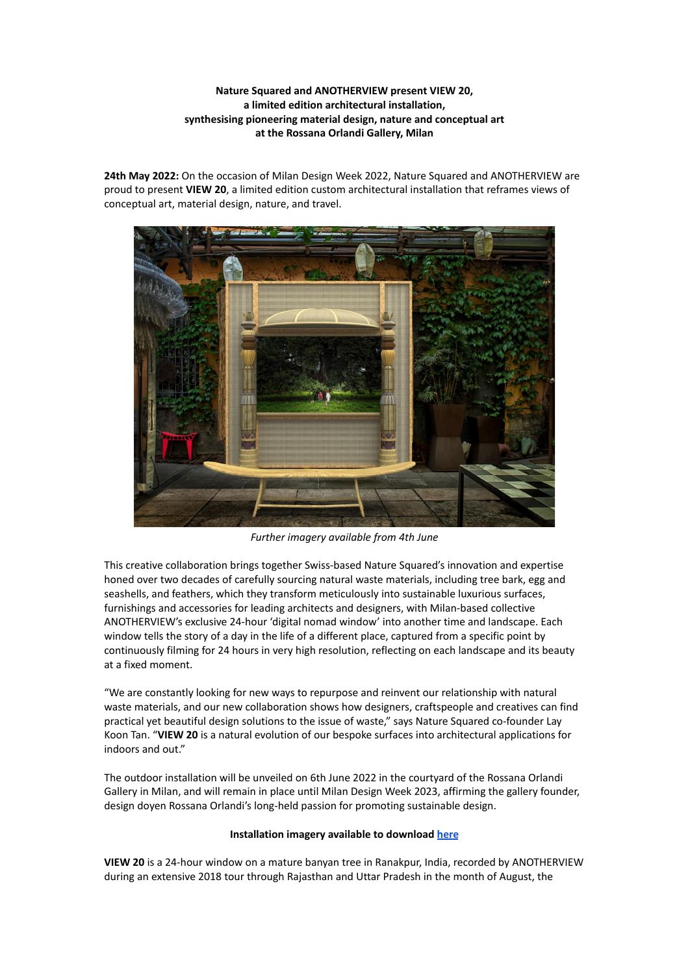# **Nature Squared and ANOTHERVIEW present VIEW 20, a limited edition architectural installation, synthesising pioneering material design, nature and conceptual art at the Rossana Orlandi Gallery, Milan**

**24th May 2022:** On the occasion of Milan Design Week 2022, Nature Squared and ANOTHERVIEW are proud to present **VIEW 20**, a limited edition custom architectural installation that reframes views of conceptual art, material design, nature, and travel.



*Further imagery available from 4th June*

This creative collaboration brings together Swiss-based Nature Squared's innovation and expertise honed over two decades of carefully sourcing natural waste materials, including tree bark, egg and seashells, and feathers, which they transform meticulously into sustainable luxurious surfaces, furnishings and accessories for leading architects and designers, with Milan-based collective ANOTHERVIEW's exclusive 24-hour 'digital nomad window' into another time and landscape. Each window tells the story of a day in the life of a different place, captured from a specific point by continuously filming for 24 hours in very high resolution, reflecting on each landscape and its beauty at a fixed moment.

"We are constantly looking for new ways to repurpose and reinvent our relationship with natural waste materials, and our new collaboration shows how designers, craftspeople and creatives can find practical yet beautiful design solutions to the issue of waste," says Nature Squared co-founder Lay Koon Tan. "**VIEW 20** is a natural evolution of our bespoke surfaces into architectural applications for indoors and out."

The outdoor installation will be unveiled on 6th June 2022 in the courtyard of the Rossana Orlandi Gallery in Milan, and will remain in place until Milan Design Week 2023, affirming the gallery founder, design doyen Rossana Orlandi's long-held passion for promoting sustainable design.

## **Installation imagery available to download [here](https://ippublicity365-my.sharepoint.com/:f:/g/personal/jackf_ippublicity_com/ElhXSKFHfvBAjnCGvhLl3YUBi4Mk2nM4UOuM3vdOwnBEMQ?e=UxrCh7)**

**VIEW 20** is a 24-hour window on a mature banyan tree in Ranakpur, India, recorded by ANOTHERVIEW during an extensive 2018 tour through Rajasthan and Uttar Pradesh in the month of August, the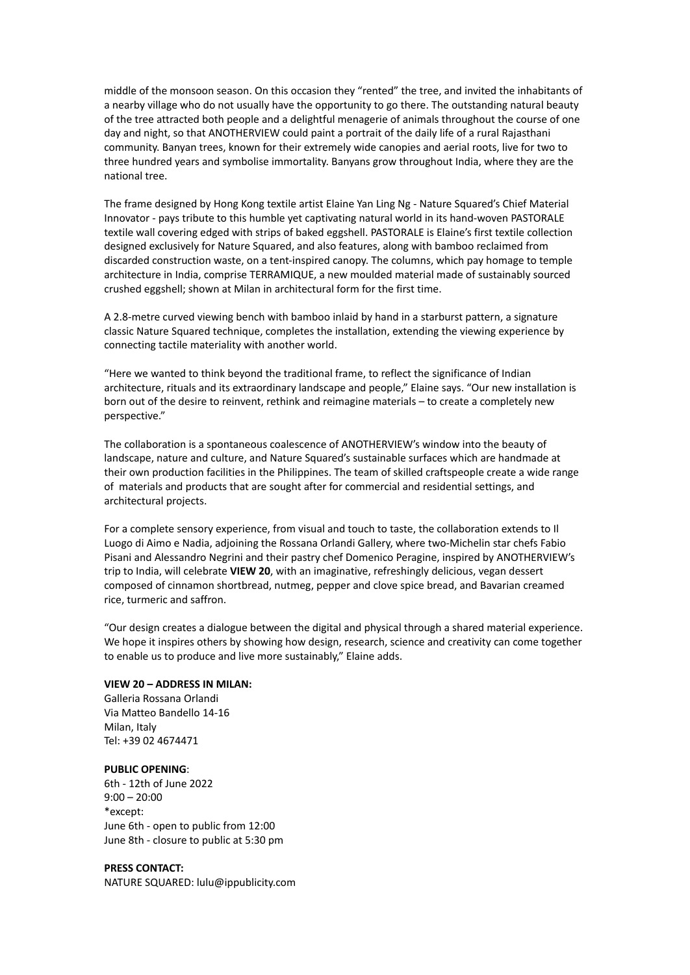middle of the monsoon season. On this occasion they "rented" the tree, and invited the inhabitants of a nearby village who do not usually have the opportunity to go there. The outstanding natural beauty of the tree attracted both people and a delightful menagerie of animals throughout the course of one day and night, so that ANOTHERVIEW could paint a portrait of the daily life of a rural Rajasthani community. Banyan trees, known for their extremely wide canopies and aerial roots, live for two to three hundred years and symbolise immortality. Banyans grow throughout India, where they are the national tree.

The frame designed by Hong Kong textile artist Elaine Yan Ling Ng - Nature Squared's Chief Material Innovator - pays tribute to this humble yet captivating natural world in its hand-woven PASTORALE textile wall covering edged with strips of baked eggshell. PASTORALE is Elaine's first textile collection designed exclusively for Nature Squared, and also features, along with bamboo reclaimed from discarded construction waste, on a tent-inspired canopy. The columns, which pay homage to temple architecture in India, comprise TERRAMIQUE, a new moulded material made of sustainably sourced crushed eggshell; shown at Milan in architectural form for the first time.

A 2.8-metre curved viewing bench with bamboo inlaid by hand in a starburst pattern, a signature classic Nature Squared technique, completes the installation, extending the viewing experience by connecting tactile materiality with another world.

"Here we wanted to think beyond the traditional frame, to reflect the significance of Indian architecture, rituals and its extraordinary landscape and people," Elaine says. "Our new installation is born out of the desire to reinvent, rethink and reimagine materials – to create a completely new perspective."

The collaboration is a spontaneous coalescence of ANOTHERVIEW's window into the beauty of landscape, nature and culture, and Nature Squared's sustainable surfaces which are handmade at their own production facilities in the Philippines. The team of skilled craftspeople create a wide range of materials and products that are sought after for commercial and residential settings, and architectural projects.

For a complete sensory experience, from visual and touch to taste, the collaboration extends to Il Luogo di Aimo e Nadia, adjoining the Rossana Orlandi Gallery, where two-Michelin star chefs Fabio Pisani and Alessandro Negrini and their pastry chef Domenico Peragine, inspired by ANOTHERVIEW's trip to India, will celebrate **VIEW 20**, with an imaginative, refreshingly delicious, vegan dessert composed of cinnamon shortbread, nutmeg, pepper and clove spice bread, and Bavarian creamed rice, turmeric and saffron.

"Our design creates a dialogue between the digital and physical through a shared material experience. We hope it inspires others by showing how design, research, science and creativity can come together to enable us to produce and live more sustainably," Elaine adds.

### **VIEW 20 – ADDRESS IN MILAN:**

Galleria Rossana Orlandi Via Matteo Bandello 14-16 Milan, Italy Tel: +39 02 4674471

## **PUBLIC OPENING**:

6th - 12th of June 2022  $9:00 - 20:00$ \*except: June 6th - open to public from 12:00 June 8th - closure to public at 5:30 pm

## **PRESS CONTACT:**

NATURE SQUARED: lulu@ippublicity.com